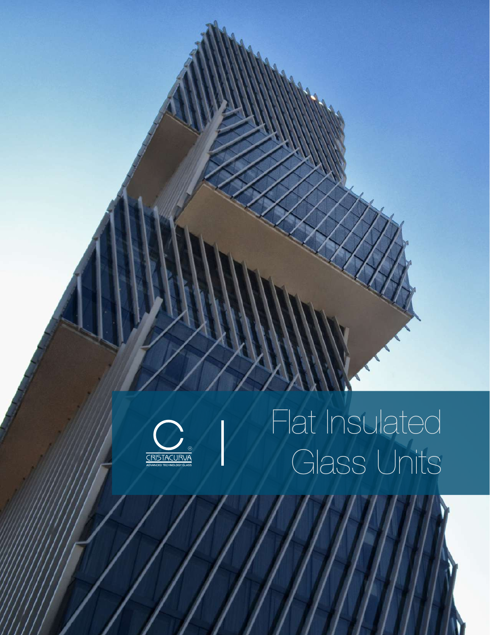

# Flat Insulated Glass Units

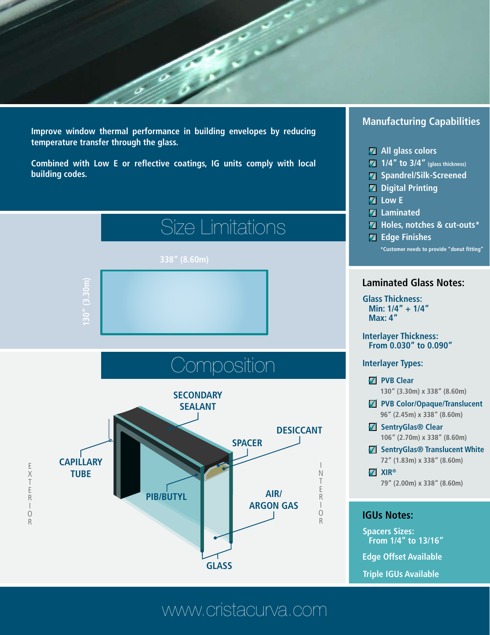**Improve window thermal performance in building envelopes by reducing temperature transfer through the glass.** 

**Combined with Low E or reflective coatings, IG units comply with local building codes.**



### **Manufacturing Capabilities**

- **All glass colors**
- **1/4" to 3/4" (glass thickness)**
- **Spandrel/Silk-Screened**
- **Z** Digital Printing
- **ZLow E**
- **Laminated**
- **Holes, notches & cut-outs\***
- **\*Customer needs to provide "donut fitting" Z** Edge Finishes

### **Laminated Glass Notes:**

**Min: 1/4" + 1/4" Max: 4" Glass Thickness:**

#### **Interlayer Thickness: From 0.030" to 0.090"**

#### **Interlayer Types:**

- **Z** PVB Clear
	- **130" (3.30m) x 338" (8.60m)**
- **PVB Color/Opaque/Translucent 96" (2.45m) x 338" (8.60m)**
- **SentryGlas® Clear 106" (2.70m) x 338" (8.60m)**
- **SentryGlas® Translucent White 72" (1.83m) x 338" (8.60m)**
- **XIR® 79" (2.00m) x 338" (8.60m)**

#### **IGUs Notes:**

**From 1/4" to 13/16" Spacers Sizes:**

**Edge Offset Available**

**Triple IGUs Available**

### www.cristacurva.com